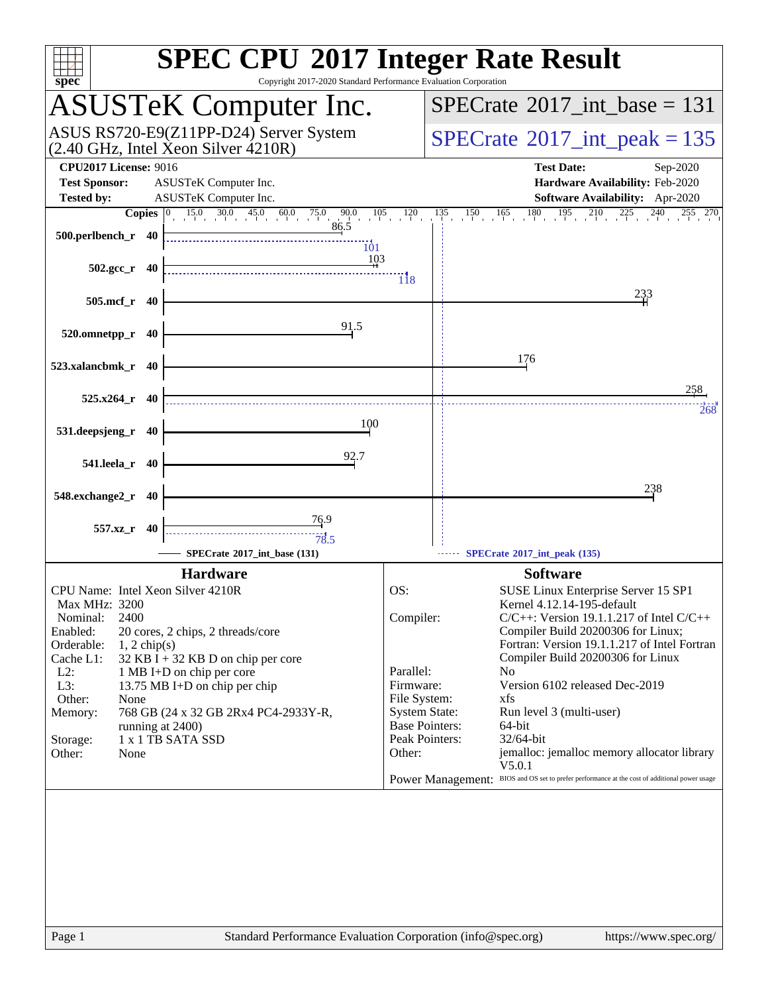| $spec^*$                                                                                                                                                                                                                                                                                                                                                                                                                                                   | <b>SPEC CPU®2017 Integer Rate Result</b><br>Copyright 2017-2020 Standard Performance Evaluation Corporation                                                                                                                                                                                                                                                                                                                                                                                                                                                                                                                                                                         |
|------------------------------------------------------------------------------------------------------------------------------------------------------------------------------------------------------------------------------------------------------------------------------------------------------------------------------------------------------------------------------------------------------------------------------------------------------------|-------------------------------------------------------------------------------------------------------------------------------------------------------------------------------------------------------------------------------------------------------------------------------------------------------------------------------------------------------------------------------------------------------------------------------------------------------------------------------------------------------------------------------------------------------------------------------------------------------------------------------------------------------------------------------------|
| <b>ASUSTeK Computer Inc.</b>                                                                                                                                                                                                                                                                                                                                                                                                                               | $SPECrate^{\circledast}2017\_int\_base = 131$                                                                                                                                                                                                                                                                                                                                                                                                                                                                                                                                                                                                                                       |
| ASUS RS720-E9(Z11PP-D24) Server System<br>(2.40 GHz, Intel Xeon Silver 4210R)                                                                                                                                                                                                                                                                                                                                                                              | $SPECTate$ <sup>®</sup> 2017_int_peak = 135                                                                                                                                                                                                                                                                                                                                                                                                                                                                                                                                                                                                                                         |
| <b>CPU2017 License: 9016</b><br>ASUSTeK Computer Inc.<br><b>Test Sponsor:</b><br><b>Tested by:</b><br>ASUSTeK Computer Inc.                                                                                                                                                                                                                                                                                                                                | <b>Test Date:</b><br>Sep-2020<br>Hardware Availability: Feb-2020<br>Software Availability: Apr-2020                                                                                                                                                                                                                                                                                                                                                                                                                                                                                                                                                                                 |
|                                                                                                                                                                                                                                                                                                                                                                                                                                                            | $135$ $150$ $165$ $180$ $195$ $210$ $225$ $240$ $255$ $270$                                                                                                                                                                                                                                                                                                                                                                                                                                                                                                                                                                                                                         |
| <b>Copies</b> $\begin{bmatrix} 0 & 15.0 & 30.0 & 45.0 & 60.0 & 75.0 & 90.0 & 105 & 120 \\ 0 & 0 & 0 & 86.5 & 86.5 & 86.5 & 86.5 & 86.5 & 86.5 & 86.5 & 86.5 & 86.5 & 86.5 & 86.5 & 86.5 & 86.5 & 86.5 & 86.5 & 86.5 & 86.5 & 86.5 & 86.5 & 86.5 & 86.5 & 86.5 & 86.5 & 86.5 & 86$<br>500.perlbench_r 40<br>$\overline{101}$<br>103                                                                                                                         |                                                                                                                                                                                                                                                                                                                                                                                                                                                                                                                                                                                                                                                                                     |
| $502.\text{gcc r}$ 40                                                                                                                                                                                                                                                                                                                                                                                                                                      | $\overline{118}$                                                                                                                                                                                                                                                                                                                                                                                                                                                                                                                                                                                                                                                                    |
| 505.mcf_r 40                                                                                                                                                                                                                                                                                                                                                                                                                                               | 233                                                                                                                                                                                                                                                                                                                                                                                                                                                                                                                                                                                                                                                                                 |
| 91.5<br>520.omnetpp_r 40                                                                                                                                                                                                                                                                                                                                                                                                                                   |                                                                                                                                                                                                                                                                                                                                                                                                                                                                                                                                                                                                                                                                                     |
| 523.xalancbmk_r 40                                                                                                                                                                                                                                                                                                                                                                                                                                         | 176                                                                                                                                                                                                                                                                                                                                                                                                                                                                                                                                                                                                                                                                                 |
| $525.x264$ <sub>r</sub> 40                                                                                                                                                                                                                                                                                                                                                                                                                                 | 258<br>268                                                                                                                                                                                                                                                                                                                                                                                                                                                                                                                                                                                                                                                                          |
| 100<br>531.deepsjeng_r 40                                                                                                                                                                                                                                                                                                                                                                                                                                  |                                                                                                                                                                                                                                                                                                                                                                                                                                                                                                                                                                                                                                                                                     |
| 92.7<br>541.leela_r 40                                                                                                                                                                                                                                                                                                                                                                                                                                     |                                                                                                                                                                                                                                                                                                                                                                                                                                                                                                                                                                                                                                                                                     |
| 548.exchange2_r 40                                                                                                                                                                                                                                                                                                                                                                                                                                         | 238                                                                                                                                                                                                                                                                                                                                                                                                                                                                                                                                                                                                                                                                                 |
| $\frac{76.9}{9}$<br>557.xz_r 40<br>78.5<br>SPECrate®2017_int_base (131)                                                                                                                                                                                                                                                                                                                                                                                    | SPECrate*2017_int_peak (135)                                                                                                                                                                                                                                                                                                                                                                                                                                                                                                                                                                                                                                                        |
|                                                                                                                                                                                                                                                                                                                                                                                                                                                            |                                                                                                                                                                                                                                                                                                                                                                                                                                                                                                                                                                                                                                                                                     |
| <b>Hardware</b><br>CPU Name: Intel Xeon Silver 4210R<br>Max MHz: 3200<br>2400<br>Nominal:<br>Enabled:<br>20 cores, 2 chips, 2 threads/core<br>Orderable:<br>$1, 2$ chip(s)<br>Cache L1:<br>$32$ KB I + 32 KB D on chip per core<br>$L2$ :<br>1 MB I+D on chip per core<br>L3:<br>13.75 MB I+D on chip per chip<br>Other:<br>None<br>768 GB (24 x 32 GB 2Rx4 PC4-2933Y-R,<br>Memory:<br>running at 2400)<br>1 x 1 TB SATA SSD<br>Storage:<br>Other:<br>None | <b>Software</b><br>OS:<br>SUSE Linux Enterprise Server 15 SP1<br>Kernel 4.12.14-195-default<br>Compiler:<br>$C/C++$ : Version 19.1.1.217 of Intel $C/C++$<br>Compiler Build 20200306 for Linux;<br>Fortran: Version 19.1.1.217 of Intel Fortran<br>Compiler Build 20200306 for Linux<br>Parallel:<br>N <sub>0</sub><br>Firmware:<br>Version 6102 released Dec-2019<br>File System:<br>xfs<br><b>System State:</b><br>Run level 3 (multi-user)<br><b>Base Pointers:</b><br>64-bit<br>Peak Pointers:<br>32/64-bit<br>Other:<br>jemalloc: jemalloc memory allocator library<br>V5.0.1<br>Power Management: BIOS and OS set to prefer performance at the cost of additional power usage |
| Page 1                                                                                                                                                                                                                                                                                                                                                                                                                                                     | Standard Performance Evaluation Corporation (info@spec.org)<br>https://www.spec.org/                                                                                                                                                                                                                                                                                                                                                                                                                                                                                                                                                                                                |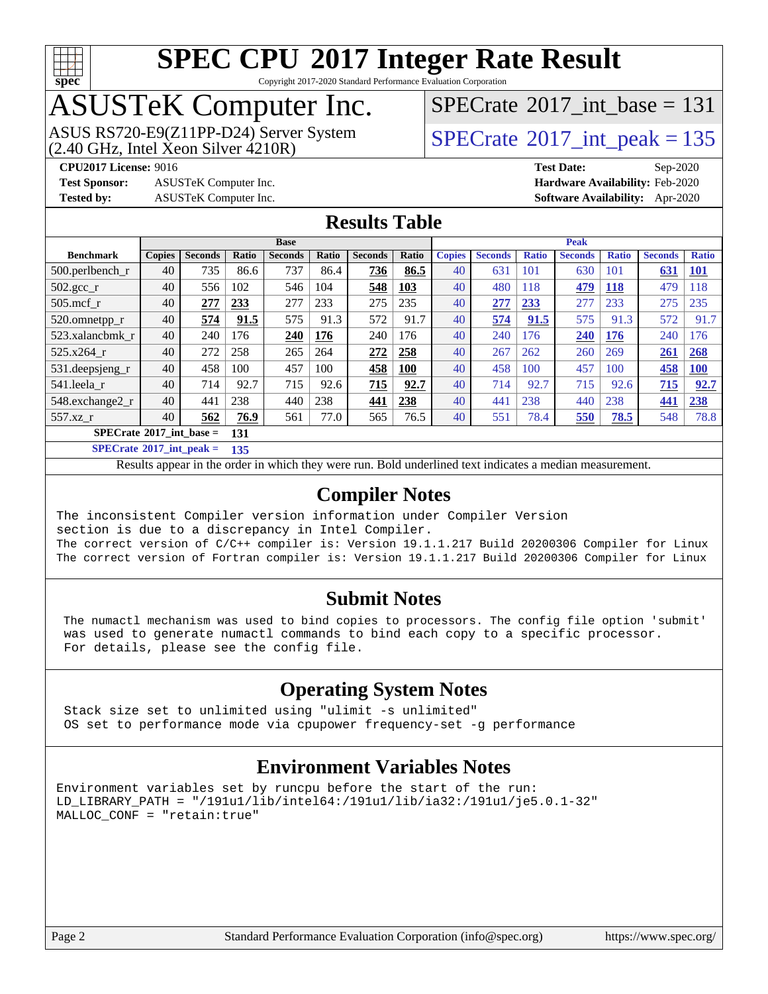

Copyright 2017-2020 Standard Performance Evaluation Corporation

## ASUSTeK Computer Inc.

 $SPECTate$ <sup>®</sup>[2017\\_int\\_base =](http://www.spec.org/auto/cpu2017/Docs/result-fields.html#SPECrate2017intbase) 131

ASUS RS720-E9(Z11PP-D24) Server System  $(2.40 \text{ GHz}, \text{ Intel Xeon Silver } 4210\text{R})$  [SPECrate](http://www.spec.org/auto/cpu2017/Docs/result-fields.html#SPECrate2017intpeak)®[2017\\_int\\_peak = 1](http://www.spec.org/auto/cpu2017/Docs/result-fields.html#SPECrate2017intpeak)35

**[Test Sponsor:](http://www.spec.org/auto/cpu2017/Docs/result-fields.html#TestSponsor)** ASUSTeK Computer Inc. **[Hardware Availability:](http://www.spec.org/auto/cpu2017/Docs/result-fields.html#HardwareAvailability)** Feb-2020

**[CPU2017 License:](http://www.spec.org/auto/cpu2017/Docs/result-fields.html#CPU2017License)** 9016 **[Test Date:](http://www.spec.org/auto/cpu2017/Docs/result-fields.html#TestDate)** Sep-2020 **[Tested by:](http://www.spec.org/auto/cpu2017/Docs/result-fields.html#Testedby)** ASUSTeK Computer Inc. **[Software Availability:](http://www.spec.org/auto/cpu2017/Docs/result-fields.html#SoftwareAvailability)** Apr-2020

#### **[Results Table](http://www.spec.org/auto/cpu2017/Docs/result-fields.html#ResultsTable)**

|                                   | <b>Base</b>   |                |              |                |              |                | <b>Peak</b> |               |                |              |                |              |                |              |
|-----------------------------------|---------------|----------------|--------------|----------------|--------------|----------------|-------------|---------------|----------------|--------------|----------------|--------------|----------------|--------------|
| <b>Benchmark</b>                  | <b>Copies</b> | <b>Seconds</b> | <b>Ratio</b> | <b>Seconds</b> | <b>Ratio</b> | <b>Seconds</b> | Ratio       | <b>Copies</b> | <b>Seconds</b> | <b>Ratio</b> | <b>Seconds</b> | <b>Ratio</b> | <b>Seconds</b> | <b>Ratio</b> |
| $500.$ perlbench_r                | 40            | 735            | 86.6         | 737            | 86.4         | 736            | 86.5        | 40            | 631            | 101          | 630            | 101          | 631            | <u>101</u>   |
| $502.\text{gcc}_r$                | 40            | 556            | 102          | 546            | 104          | 548            | 103         | 40            | 480            | 118          | 479            | 118          | 479            | 118          |
| $505$ .mcf r                      | 40            | 277            | 233          | 277            | 233          | 275            | 235         | 40            | 277            | 233          | 277            | 233          | 275            | 235          |
| 520.omnetpp_r                     | 40            | 574            | 91.5         | 575            | 91.3         | 572            | 91.7        | 40            | 574            | 91.5         | 575            | 91.3         | 572            | 91.7         |
| 523.xalancbmk r                   | 40            | 240            | 176          | 240            | 176          | 240            | 176         | 40            | 240            | 176          | 240            | 176          | 240            | 176          |
| 525.x264 r                        | 40            | 272            | 258          | 265            | 264          | 272            | 258         | 40            | 267            | 262          | 260            | 269          | 261            | 268          |
| 531.deepsjeng_r                   | 40            | 458            | 100          | 457            | 100          | 458            | <b>100</b>  | 40            | 458            | 100          | 457            | 100          | 458            | <b>100</b>   |
| 541.leela r                       | 40            | 714            | 92.7         | 715            | 92.6         | 715            | 92.7        | 40            | 714            | 92.7         | 715            | 92.6         | 715            | 92.7         |
| 548.exchange2_r                   | 40            | 441            | 238          | 440            | 238          | 441            | 238         | 40            | 441            | 238          | 440            | 238          | 441            | 238          |
| $557.xz$ r                        | 40            | 562            | 76.9         | 561            | 77.0         | 565            | 76.5        | 40            | 551            | 78.4         | 550            | 78.5         | 548            | 78.8         |
| $SPECrate^{\circ}2017$ int base = |               |                | 131          |                |              |                |             |               |                |              |                |              |                |              |

**[SPECrate](http://www.spec.org/auto/cpu2017/Docs/result-fields.html#SPECrate2017intpeak)[2017\\_int\\_peak =](http://www.spec.org/auto/cpu2017/Docs/result-fields.html#SPECrate2017intpeak) 135**

Results appear in the [order in which they were run.](http://www.spec.org/auto/cpu2017/Docs/result-fields.html#RunOrder) Bold underlined text [indicates a median measurement.](http://www.spec.org/auto/cpu2017/Docs/result-fields.html#Median)

#### **[Compiler Notes](http://www.spec.org/auto/cpu2017/Docs/result-fields.html#CompilerNotes)**

The inconsistent Compiler version information under Compiler Version section is due to a discrepancy in Intel Compiler. The correct version of C/C++ compiler is: Version 19.1.1.217 Build 20200306 Compiler for Linux The correct version of Fortran compiler is: Version 19.1.1.217 Build 20200306 Compiler for Linux

### **[Submit Notes](http://www.spec.org/auto/cpu2017/Docs/result-fields.html#SubmitNotes)**

 The numactl mechanism was used to bind copies to processors. The config file option 'submit' was used to generate numactl commands to bind each copy to a specific processor. For details, please see the config file.

### **[Operating System Notes](http://www.spec.org/auto/cpu2017/Docs/result-fields.html#OperatingSystemNotes)**

 Stack size set to unlimited using "ulimit -s unlimited" OS set to performance mode via cpupower frequency-set -g performance

### **[Environment Variables Notes](http://www.spec.org/auto/cpu2017/Docs/result-fields.html#EnvironmentVariablesNotes)**

Environment variables set by runcpu before the start of the run: LD\_LIBRARY\_PATH = "/191u1/lib/intel64:/191u1/lib/ia32:/191u1/je5.0.1-32" MALLOC\_CONF = "retain:true"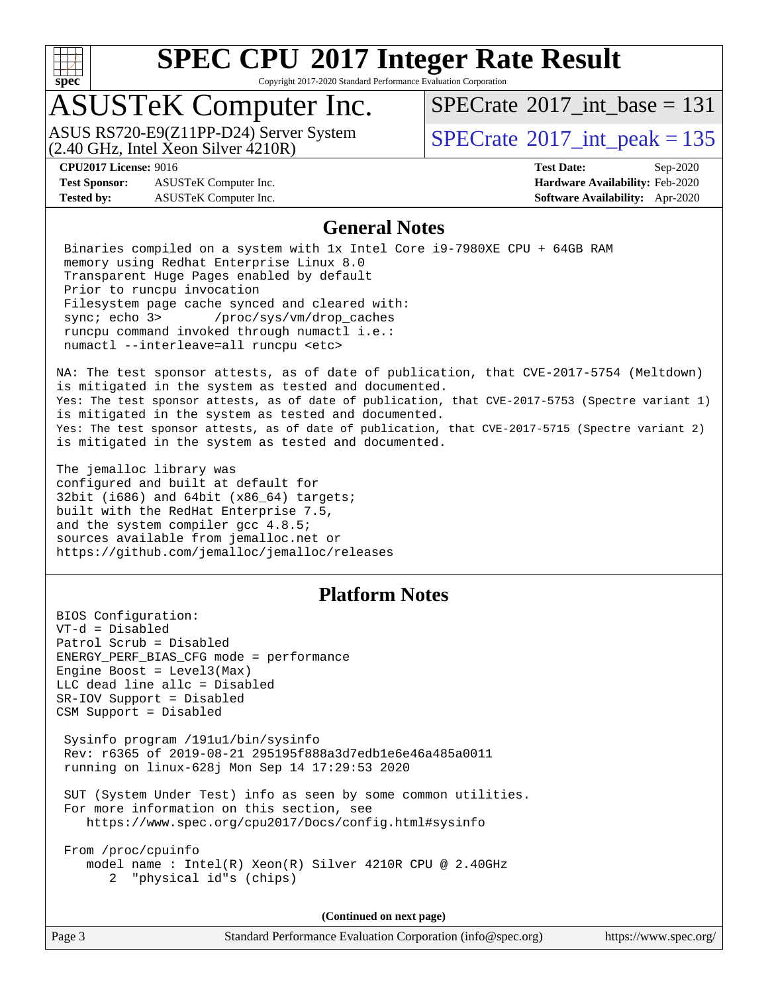

Copyright 2017-2020 Standard Performance Evaluation Corporation

### ASUSTeK Computer Inc.

 $(2.40 \text{ GHz}, \text{Intel } \hat{X}$ con Silver  $4210R$ ) ASUS RS720-E9(Z11PP-D24) Server System  $\sqrt{SPECrate}$  $\sqrt{SPECrate}$  $\sqrt{SPECrate}$  SQ17\_int\_peak = 135

 $SPECTate$ <sup>®</sup>[2017\\_int\\_base =](http://www.spec.org/auto/cpu2017/Docs/result-fields.html#SPECrate2017intbase) 131

**[Test Sponsor:](http://www.spec.org/auto/cpu2017/Docs/result-fields.html#TestSponsor)** ASUSTeK Computer Inc. **[Hardware Availability:](http://www.spec.org/auto/cpu2017/Docs/result-fields.html#HardwareAvailability)** Feb-2020 **[Tested by:](http://www.spec.org/auto/cpu2017/Docs/result-fields.html#Testedby)** ASUSTeK Computer Inc. **[Software Availability:](http://www.spec.org/auto/cpu2017/Docs/result-fields.html#SoftwareAvailability)** Apr-2020

**[CPU2017 License:](http://www.spec.org/auto/cpu2017/Docs/result-fields.html#CPU2017License)** 9016 **[Test Date:](http://www.spec.org/auto/cpu2017/Docs/result-fields.html#TestDate)** Sep-2020

#### **[General Notes](http://www.spec.org/auto/cpu2017/Docs/result-fields.html#GeneralNotes)**

 Binaries compiled on a system with 1x Intel Core i9-7980XE CPU + 64GB RAM memory using Redhat Enterprise Linux 8.0 Transparent Huge Pages enabled by default Prior to runcpu invocation Filesystem page cache synced and cleared with: sync; echo 3> /proc/sys/vm/drop\_caches runcpu command invoked through numactl i.e.: numactl --interleave=all runcpu <etc>

NA: The test sponsor attests, as of date of publication, that CVE-2017-5754 (Meltdown) is mitigated in the system as tested and documented. Yes: The test sponsor attests, as of date of publication, that CVE-2017-5753 (Spectre variant 1) is mitigated in the system as tested and documented. Yes: The test sponsor attests, as of date of publication, that CVE-2017-5715 (Spectre variant 2) is mitigated in the system as tested and documented.

The jemalloc library was configured and built at default for 32bit (i686) and 64bit (x86\_64) targets; built with the RedHat Enterprise 7.5, and the system compiler gcc 4.8.5; sources available from jemalloc.net or <https://github.com/jemalloc/jemalloc/releases>

### **[Platform Notes](http://www.spec.org/auto/cpu2017/Docs/result-fields.html#PlatformNotes)**

BIOS Configuration: VT-d = Disabled Patrol Scrub = Disabled ENERGY\_PERF\_BIAS\_CFG mode = performance Engine Boost =  $Level3(Max)$ LLC dead line allc = Disabled SR-IOV Support = Disabled CSM Support = Disabled

 Sysinfo program /191u1/bin/sysinfo Rev: r6365 of 2019-08-21 295195f888a3d7edb1e6e46a485a0011 running on linux-628j Mon Sep 14 17:29:53 2020

 SUT (System Under Test) info as seen by some common utilities. For more information on this section, see <https://www.spec.org/cpu2017/Docs/config.html#sysinfo>

 From /proc/cpuinfo model name : Intel(R) Xeon(R) Silver 4210R CPU @ 2.40GHz 2 "physical id"s (chips)

**(Continued on next page)**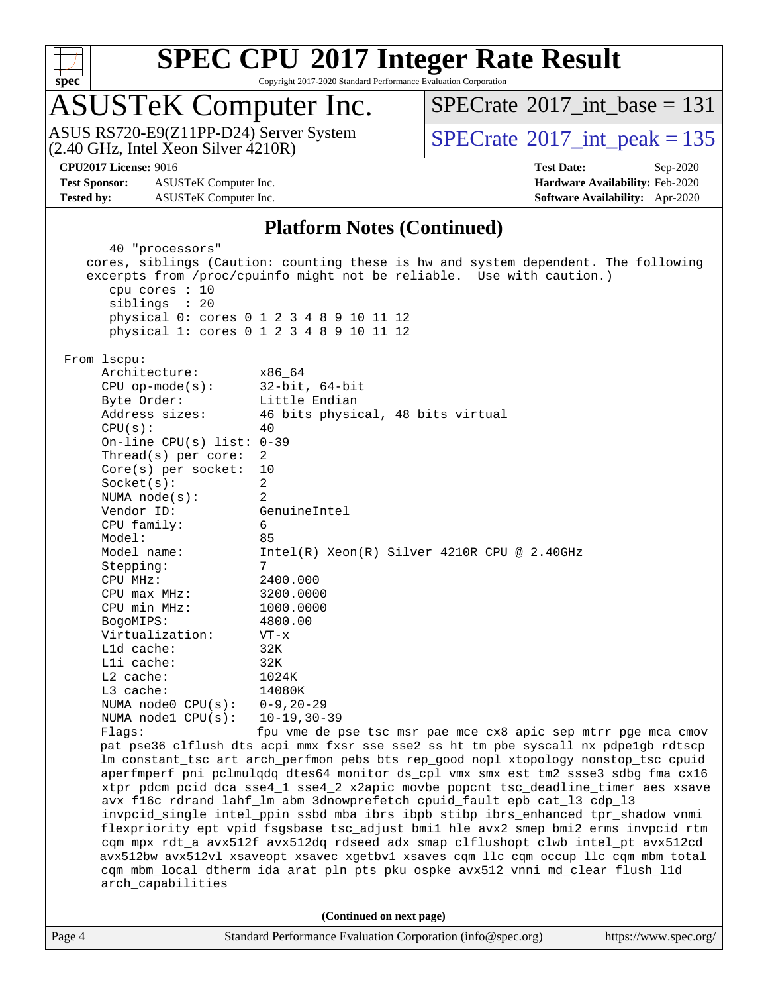

Copyright 2017-2020 Standard Performance Evaluation Corporation

## ASUSTeK Computer Inc.

(2.40 GHz, Intel Xeon Silver 4210R) ASUS RS720-E9(Z11PP-D24) Server System  $SPECrate^{\circ}2017$  $SPECrate^{\circ}2017$  int peak = 135

 $SPECTate$ <sup>®</sup>[2017\\_int\\_base =](http://www.spec.org/auto/cpu2017/Docs/result-fields.html#SPECrate2017intbase) 131

**[Test Sponsor:](http://www.spec.org/auto/cpu2017/Docs/result-fields.html#TestSponsor)** ASUSTeK Computer Inc. **[Hardware Availability:](http://www.spec.org/auto/cpu2017/Docs/result-fields.html#HardwareAvailability)** Feb-2020 **[Tested by:](http://www.spec.org/auto/cpu2017/Docs/result-fields.html#Testedby)** ASUSTeK Computer Inc. **[Software Availability:](http://www.spec.org/auto/cpu2017/Docs/result-fields.html#SoftwareAvailability)** Apr-2020

**[CPU2017 License:](http://www.spec.org/auto/cpu2017/Docs/result-fields.html#CPU2017License)** 9016 **[Test Date:](http://www.spec.org/auto/cpu2017/Docs/result-fields.html#TestDate)** Sep-2020

#### **[Platform Notes \(Continued\)](http://www.spec.org/auto/cpu2017/Docs/result-fields.html#PlatformNotes)**

Page 4 Standard Performance Evaluation Corporation [\(info@spec.org\)](mailto:info@spec.org) <https://www.spec.org/> 40 "processors" cores, siblings (Caution: counting these is hw and system dependent. The following excerpts from /proc/cpuinfo might not be reliable. Use with caution.) cpu cores : 10 siblings : 20 physical 0: cores 0 1 2 3 4 8 9 10 11 12 physical 1: cores 0 1 2 3 4 8 9 10 11 12 From lscpu: Architecture: x86\_64 CPU op-mode(s): 32-bit, 64-bit Byte Order: Little Endian Address sizes: 46 bits physical, 48 bits virtual  $CPII(s):$  40 On-line CPU(s) list: 0-39 Thread(s) per core: 2 Core(s) per socket: 10 Socket(s): 2 NUMA node(s): 2 Vendor ID: GenuineIntel CPU family: 6 Model: 85 Model name: Intel(R) Xeon(R) Silver 4210R CPU @ 2.40GHz Stepping: 7 CPU MHz: 2400.000 CPU max MHz: 3200.0000 CPU min MHz: 1000.0000 BogoMIPS: 4800.00 Virtualization: VT-x L1d cache: 32K L1i cache: 32K L2 cache: 1024K L3 cache: 14080K NUMA node0 CPU(s): 0-9,20-29 NUMA node1 CPU(s): 10-19,30-39 Flags: fpu vme de pse tsc msr pae mce cx8 apic sep mtrr pge mca cmov pat pse36 clflush dts acpi mmx fxsr sse sse2 ss ht tm pbe syscall nx pdpe1gb rdtscp lm constant\_tsc art arch\_perfmon pebs bts rep\_good nopl xtopology nonstop\_tsc cpuid aperfmperf pni pclmulqdq dtes64 monitor ds\_cpl vmx smx est tm2 ssse3 sdbg fma cx16 xtpr pdcm pcid dca sse4\_1 sse4\_2 x2apic movbe popcnt tsc\_deadline\_timer aes xsave avx f16c rdrand lahf\_lm abm 3dnowprefetch cpuid\_fault epb cat\_l3 cdp\_l3 invpcid\_single intel\_ppin ssbd mba ibrs ibpb stibp ibrs\_enhanced tpr\_shadow vnmi flexpriority ept vpid fsgsbase tsc\_adjust bmi1 hle avx2 smep bmi2 erms invpcid rtm cqm mpx rdt\_a avx512f avx512dq rdseed adx smap clflushopt clwb intel\_pt avx512cd avx512bw avx512vl xsaveopt xsavec xgetbv1 xsaves cqm\_llc cqm\_occup\_llc cqm\_mbm\_total cqm\_mbm\_local dtherm ida arat pln pts pku ospke avx512\_vnni md\_clear flush\_l1d arch\_capabilities **(Continued on next page)**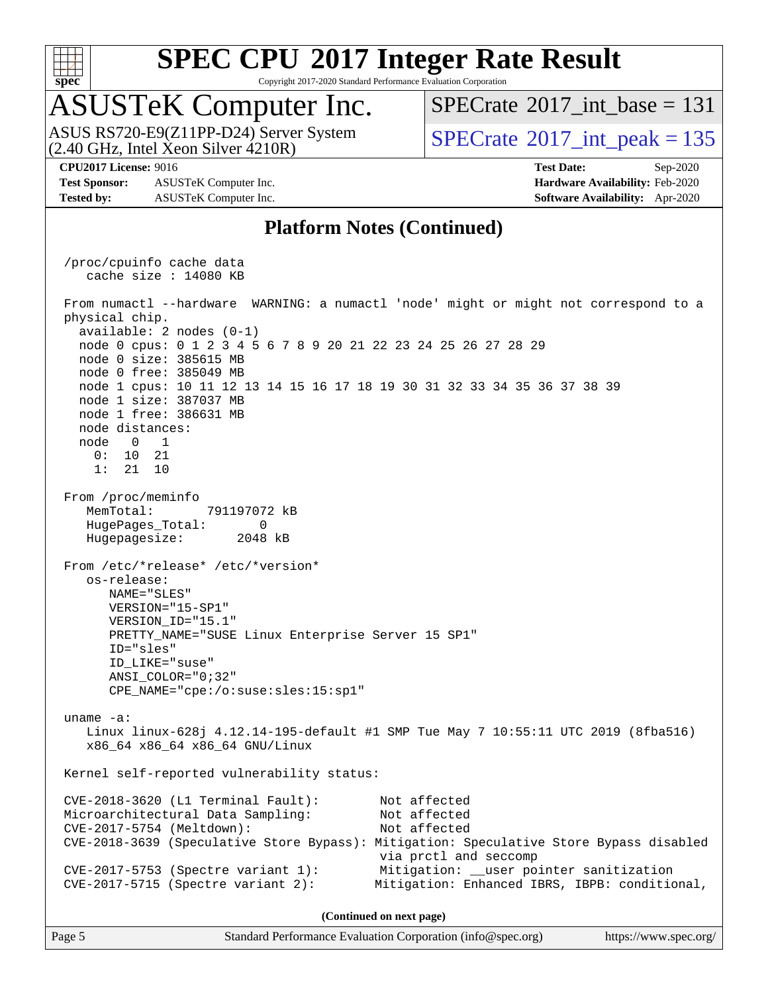

Copyright 2017-2020 Standard Performance Evaluation Corporation

### ASUSTeK Computer Inc.

 $(2.40 \text{ GHz}, \text{Intel } \hat{\text{X}}$ con Silver  $4210\text{R}$ ) ASUS RS720-E9(Z11PP-D24) Server System  $SPECrate^{\circ}2017$  $SPECrate^{\circ}2017$  int peak = 135

 $SPECTate$ <sup>®</sup>[2017\\_int\\_base =](http://www.spec.org/auto/cpu2017/Docs/result-fields.html#SPECrate2017intbase) 131

**[Test Sponsor:](http://www.spec.org/auto/cpu2017/Docs/result-fields.html#TestSponsor)** ASUSTeK Computer Inc. **[Hardware Availability:](http://www.spec.org/auto/cpu2017/Docs/result-fields.html#HardwareAvailability)** Feb-2020 **[Tested by:](http://www.spec.org/auto/cpu2017/Docs/result-fields.html#Testedby)** ASUSTeK Computer Inc. **[Software Availability:](http://www.spec.org/auto/cpu2017/Docs/result-fields.html#SoftwareAvailability)** Apr-2020

**[CPU2017 License:](http://www.spec.org/auto/cpu2017/Docs/result-fields.html#CPU2017License)** 9016 **[Test Date:](http://www.spec.org/auto/cpu2017/Docs/result-fields.html#TestDate)** Sep-2020

#### **[Platform Notes \(Continued\)](http://www.spec.org/auto/cpu2017/Docs/result-fields.html#PlatformNotes)**

 /proc/cpuinfo cache data cache size : 14080 KB From numactl --hardware WARNING: a numactl 'node' might or might not correspond to a physical chip. available: 2 nodes (0-1) node 0 cpus: 0 1 2 3 4 5 6 7 8 9 20 21 22 23 24 25 26 27 28 29 node 0 size: 385615 MB node 0 free: 385049 MB node 1 cpus: 10 11 12 13 14 15 16 17 18 19 30 31 32 33 34 35 36 37 38 39 node 1 size: 387037 MB node 1 free: 386631 MB node distances: node 0 1 0: 10 21 1: 21 10 From /proc/meminfo MemTotal: 791197072 kB HugePages\_Total: 0 Hugepagesize: 2048 kB From /etc/\*release\* /etc/\*version\* os-release: NAME="SLES" VERSION="15-SP1" VERSION\_ID="15.1" PRETTY\_NAME="SUSE Linux Enterprise Server 15 SP1" ID="sles" ID\_LIKE="suse" ANSI\_COLOR="0;32" CPE\_NAME="cpe:/o:suse:sles:15:sp1" uname -a: Linux linux-628j 4.12.14-195-default #1 SMP Tue May 7 10:55:11 UTC 2019 (8fba516) x86\_64 x86\_64 x86\_64 GNU/Linux Kernel self-reported vulnerability status: CVE-2018-3620 (L1 Terminal Fault): Not affected Microarchitectural Data Sampling: Not affected CVE-2017-5754 (Meltdown): Not affected CVE-2018-3639 (Speculative Store Bypass): Mitigation: Speculative Store Bypass disabled via prctl and seccomp CVE-2017-5753 (Spectre variant 1): Mitigation: \_\_user pointer sanitization CVE-2017-5715 (Spectre variant 2): Mitigation: Enhanced IBRS, IBPB: conditional, **(Continued on next page)**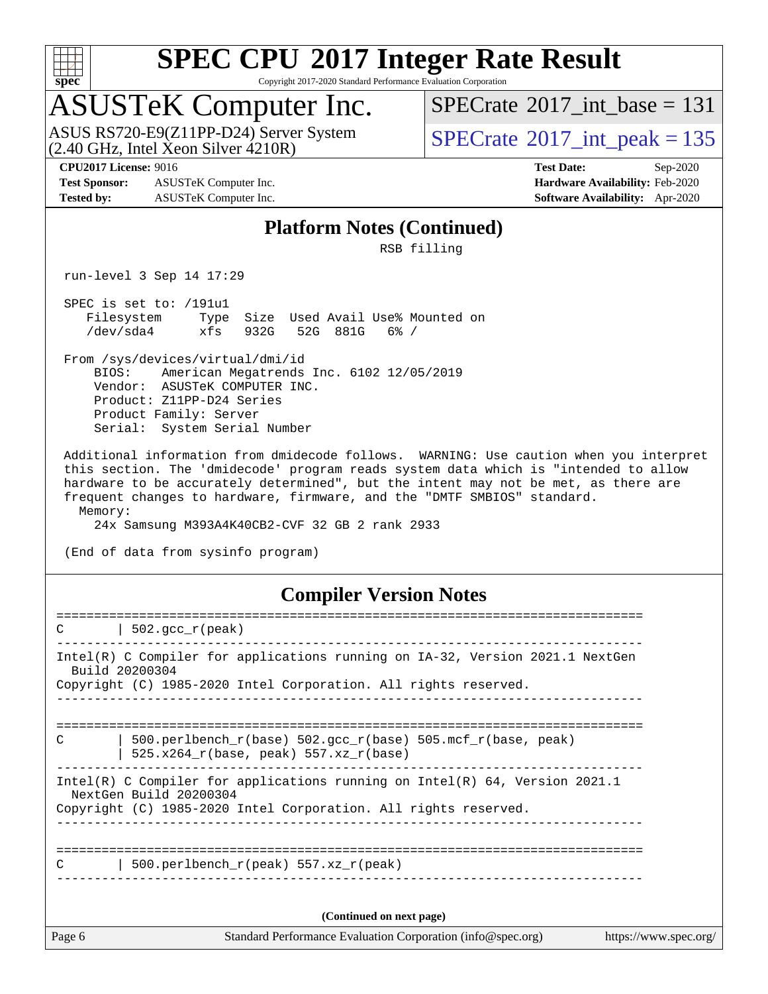

Copyright 2017-2020 Standard Performance Evaluation Corporation

### ASUSTeK Computer Inc.

ASUS RS720-E9(Z11PP-D24) Server System  $(2.40 \text{ GHz}, \text{ Intel Xeon Silver } 4210\text{R})$  [SPECrate](http://www.spec.org/auto/cpu2017/Docs/result-fields.html#SPECrate2017intpeak)®[2017\\_int\\_peak = 1](http://www.spec.org/auto/cpu2017/Docs/result-fields.html#SPECrate2017intpeak)35

 $SPECTate$ <sup>®</sup>[2017\\_int\\_base =](http://www.spec.org/auto/cpu2017/Docs/result-fields.html#SPECrate2017intbase) 131

**[Test Sponsor:](http://www.spec.org/auto/cpu2017/Docs/result-fields.html#TestSponsor)** ASUSTeK Computer Inc. **[Hardware Availability:](http://www.spec.org/auto/cpu2017/Docs/result-fields.html#HardwareAvailability)** Feb-2020 **[Tested by:](http://www.spec.org/auto/cpu2017/Docs/result-fields.html#Testedby)** ASUSTeK Computer Inc. **[Software Availability:](http://www.spec.org/auto/cpu2017/Docs/result-fields.html#SoftwareAvailability)** Apr-2020

**[CPU2017 License:](http://www.spec.org/auto/cpu2017/Docs/result-fields.html#CPU2017License)** 9016 **[Test Date:](http://www.spec.org/auto/cpu2017/Docs/result-fields.html#TestDate)** Sep-2020

#### **[Platform Notes \(Continued\)](http://www.spec.org/auto/cpu2017/Docs/result-fields.html#PlatformNotes)**

RSB filling

run-level 3 Sep 14 17:29

 SPEC is set to: /191u1 Filesystem Type Size Used Avail Use% Mounted on /dev/sda4 xfs 932G 52G 881G 6% /

 From /sys/devices/virtual/dmi/id BIOS: American Megatrends Inc. 6102 12/05/2019 Vendor: ASUSTeK COMPUTER INC. Product: Z11PP-D24 Series Product Family: Server Serial: System Serial Number

 Additional information from dmidecode follows. WARNING: Use caution when you interpret this section. The 'dmidecode' program reads system data which is "intended to allow hardware to be accurately determined", but the intent may not be met, as there are frequent changes to hardware, firmware, and the "DMTF SMBIOS" standard. Memory:

24x Samsung M393A4K40CB2-CVF 32 GB 2 rank 2933

(End of data from sysinfo program)

#### **[Compiler Version Notes](http://www.spec.org/auto/cpu2017/Docs/result-fields.html#CompilerVersionNotes)**

| C      | $502.\text{qcc r (peak)}$                                                                                                                                                   |                       |
|--------|-----------------------------------------------------------------------------------------------------------------------------------------------------------------------------|-----------------------|
|        | Intel(R) C Compiler for applications running on IA-32, Version 2021.1 NextGen<br>Build 20200304<br>Copyright (C) 1985-2020 Intel Corporation. All rights reserved.          |                       |
| C      | 500.perlbench $r(base)$ 502.qcc $r(base)$ 505.mcf $r(base, peak)$<br>$525.x264_r(base, peak) 557.xz_r(base)$                                                                |                       |
|        | Intel(R) C Compiler for applications running on Intel(R) $64$ , Version 2021.1<br>NextGen Build 20200304<br>Copyright (C) 1985-2020 Intel Corporation. All rights reserved. |                       |
| C      | 500.perlbench $r(\text{peak})$ 557.xz $r(\text{peak})$                                                                                                                      |                       |
|        | (Continued on next page)                                                                                                                                                    |                       |
| Page 6 | Standard Performance Evaluation Corporation (info@spec.org)                                                                                                                 | https://www.spec.org/ |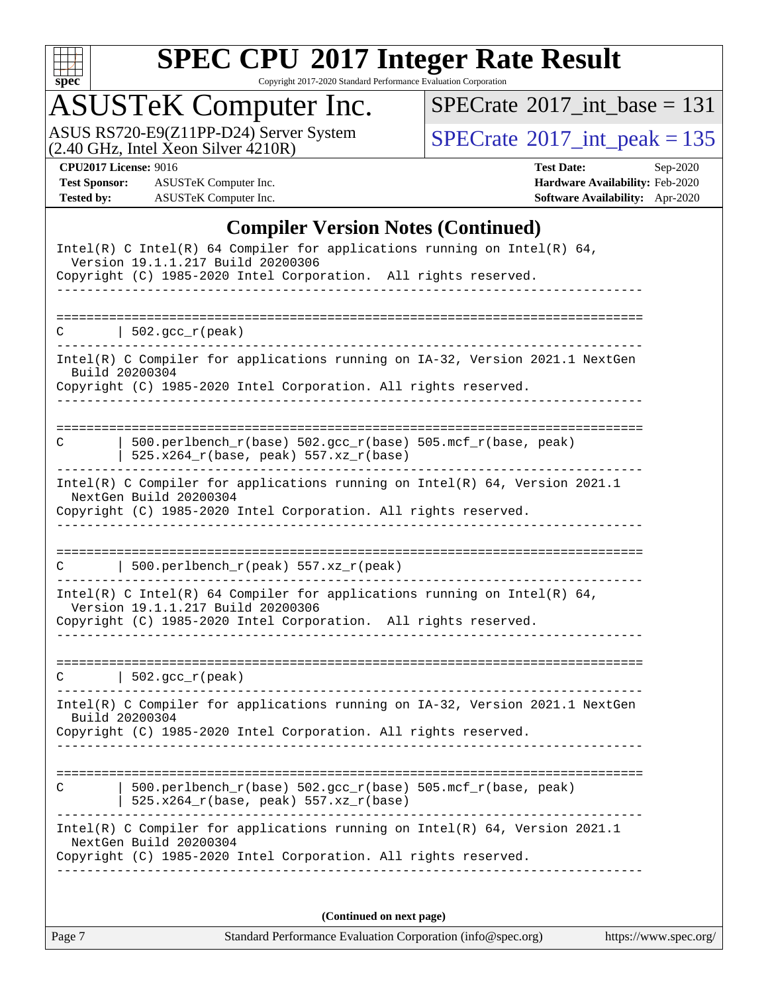

Copyright 2017-2020 Standard Performance Evaluation Corporation

## ASUSTeK Computer Inc.

ASUS RS720-E9(Z11PP-D24) Server System  $(2.40 \text{ GHz}, \text{ Intel Xeon Silver } 4210\text{R})$  [SPECrate](http://www.spec.org/auto/cpu2017/Docs/result-fields.html#SPECrate2017intpeak)®[2017\\_int\\_peak = 1](http://www.spec.org/auto/cpu2017/Docs/result-fields.html#SPECrate2017intpeak)35

 $SPECTate$ <sup>®</sup>[2017\\_int\\_base =](http://www.spec.org/auto/cpu2017/Docs/result-fields.html#SPECrate2017intbase) 131

**[Test Sponsor:](http://www.spec.org/auto/cpu2017/Docs/result-fields.html#TestSponsor)** ASUSTeK Computer Inc. **[Hardware Availability:](http://www.spec.org/auto/cpu2017/Docs/result-fields.html#HardwareAvailability)** Feb-2020 **[Tested by:](http://www.spec.org/auto/cpu2017/Docs/result-fields.html#Testedby)** ASUSTeK Computer Inc. **[Software Availability:](http://www.spec.org/auto/cpu2017/Docs/result-fields.html#SoftwareAvailability)** Apr-2020

**[CPU2017 License:](http://www.spec.org/auto/cpu2017/Docs/result-fields.html#CPU2017License)** 9016 **[Test Date:](http://www.spec.org/auto/cpu2017/Docs/result-fields.html#TestDate)** Sep-2020

#### **[Compiler Version Notes \(Continued\)](http://www.spec.org/auto/cpu2017/Docs/result-fields.html#CompilerVersionNotes)**

| Intel(R) C Intel(R) 64 Compiler for applications running on Intel(R) 64,<br>Version 19.1.1.217 Build 20200306 |
|---------------------------------------------------------------------------------------------------------------|
| Copyright (C) 1985-2020 Intel Corporation. All rights reserved.                                               |
|                                                                                                               |
| $\vert$ 502.gcc_r(peak)<br>C.                                                                                 |
| Intel(R) C Compiler for applications running on IA-32, Version 2021.1 NextGen<br>Build 20200304               |
| Copyright (C) 1985-2020 Intel Corporation. All rights reserved.<br>_________________________________          |
|                                                                                                               |
| 500.perlbench_r(base) 502.gcc_r(base) 505.mcf_r(base, peak)<br>С<br>$525.x264_r(base, peak) 557.xz_r(base)$   |
| Intel(R) C Compiler for applications running on Intel(R) $64$ , Version 2021.1<br>NextGen Build 20200304      |
| Copyright (C) 1985-2020 Intel Corporation. All rights reserved.                                               |
|                                                                                                               |
| 500.perlbench_r(peak) 557.xz_r(peak)<br>C                                                                     |
| Intel(R) C Intel(R) 64 Compiler for applications running on Intel(R) 64,<br>Version 19.1.1.217 Build 20200306 |
| Copyright (C) 1985-2020 Intel Corporation. All rights reserved.                                               |
| $\vert$ 502.gcc_r(peak)<br>С                                                                                  |
| Intel(R) C Compiler for applications running on IA-32, Version 2021.1 NextGen                                 |
| Build 20200304<br>Copyright (C) 1985-2020 Intel Corporation. All rights reserved.                             |
|                                                                                                               |
| 500.perlbench_r(base) 502.gcc_r(base) 505.mcf_r(base, peak)<br>C<br>$525.x264_r(base, peak)$ $557.xz_r(base)$ |
| Intel(R) C Compiler for applications running on Intel(R) $64$ , Version 2021.1<br>NextGen Build 20200304      |
| Copyright (C) 1985-2020 Intel Corporation. All rights reserved.                                               |
|                                                                                                               |
| (Continued on next page)                                                                                      |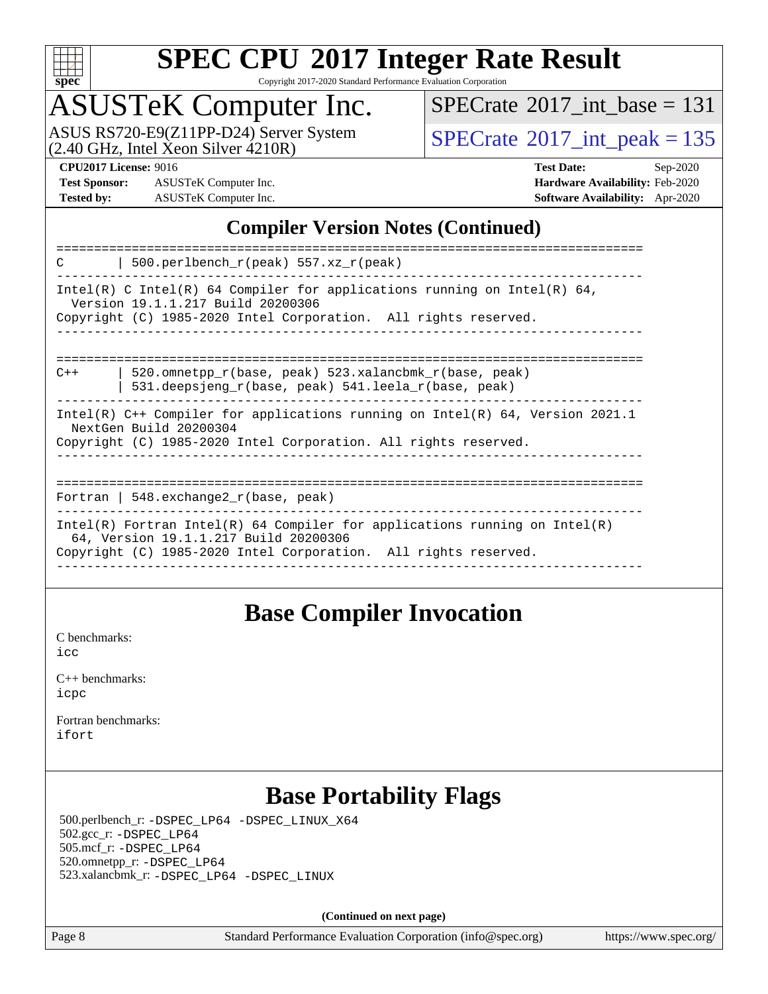

Copyright 2017-2020 Standard Performance Evaluation Corporation

## ASUSTeK Computer Inc.

ASUS RS720-E9(Z11PP-D24) Server System<br>(2.40 GHz, Intel Xeon Silver 4210R)

 $SPECTate$ <sup>®</sup>[2017\\_int\\_base =](http://www.spec.org/auto/cpu2017/Docs/result-fields.html#SPECrate2017intbase) 131

 $SPECTate<sup>®</sup>2017_int_ppeak = 135$ 

**[Test Sponsor:](http://www.spec.org/auto/cpu2017/Docs/result-fields.html#TestSponsor)** ASUSTeK Computer Inc. **[Hardware Availability:](http://www.spec.org/auto/cpu2017/Docs/result-fields.html#HardwareAvailability)** Feb-2020 **[Tested by:](http://www.spec.org/auto/cpu2017/Docs/result-fields.html#Testedby)** ASUSTeK Computer Inc. **[Software Availability:](http://www.spec.org/auto/cpu2017/Docs/result-fields.html#SoftwareAvailability)** Apr-2020

**[CPU2017 License:](http://www.spec.org/auto/cpu2017/Docs/result-fields.html#CPU2017License)** 9016 **[Test Date:](http://www.spec.org/auto/cpu2017/Docs/result-fields.html#TestDate)** Sep-2020

### **[Compiler Version Notes \(Continued\)](http://www.spec.org/auto/cpu2017/Docs/result-fields.html#CompilerVersionNotes)**

### **[Base Compiler Invocation](http://www.spec.org/auto/cpu2017/Docs/result-fields.html#BaseCompilerInvocation)**

[C benchmarks](http://www.spec.org/auto/cpu2017/Docs/result-fields.html#Cbenchmarks): [icc](http://www.spec.org/cpu2017/results/res2020q4/cpu2017-20200925-24013.flags.html#user_CCbase_intel_icc_66fc1ee009f7361af1fbd72ca7dcefbb700085f36577c54f309893dd4ec40d12360134090235512931783d35fd58c0460139e722d5067c5574d8eaf2b3e37e92)

| $C_{++}$ benchmarks: |  |
|----------------------|--|
| icpc                 |  |

[Fortran benchmarks](http://www.spec.org/auto/cpu2017/Docs/result-fields.html#Fortranbenchmarks): [ifort](http://www.spec.org/cpu2017/results/res2020q4/cpu2017-20200925-24013.flags.html#user_FCbase_intel_ifort_8111460550e3ca792625aed983ce982f94888b8b503583aa7ba2b8303487b4d8a21a13e7191a45c5fd58ff318f48f9492884d4413fa793fd88dd292cad7027ca)

### **[Base Portability Flags](http://www.spec.org/auto/cpu2017/Docs/result-fields.html#BasePortabilityFlags)**

 500.perlbench\_r: [-DSPEC\\_LP64](http://www.spec.org/cpu2017/results/res2020q4/cpu2017-20200925-24013.flags.html#b500.perlbench_r_basePORTABILITY_DSPEC_LP64) [-DSPEC\\_LINUX\\_X64](http://www.spec.org/cpu2017/results/res2020q4/cpu2017-20200925-24013.flags.html#b500.perlbench_r_baseCPORTABILITY_DSPEC_LINUX_X64) 502.gcc\_r: [-DSPEC\\_LP64](http://www.spec.org/cpu2017/results/res2020q4/cpu2017-20200925-24013.flags.html#suite_basePORTABILITY502_gcc_r_DSPEC_LP64) 505.mcf\_r: [-DSPEC\\_LP64](http://www.spec.org/cpu2017/results/res2020q4/cpu2017-20200925-24013.flags.html#suite_basePORTABILITY505_mcf_r_DSPEC_LP64) 520.omnetpp\_r: [-DSPEC\\_LP64](http://www.spec.org/cpu2017/results/res2020q4/cpu2017-20200925-24013.flags.html#suite_basePORTABILITY520_omnetpp_r_DSPEC_LP64) 523.xalancbmk\_r: [-DSPEC\\_LP64](http://www.spec.org/cpu2017/results/res2020q4/cpu2017-20200925-24013.flags.html#suite_basePORTABILITY523_xalancbmk_r_DSPEC_LP64) [-DSPEC\\_LINUX](http://www.spec.org/cpu2017/results/res2020q4/cpu2017-20200925-24013.flags.html#b523.xalancbmk_r_baseCXXPORTABILITY_DSPEC_LINUX)

**(Continued on next page)**

Page 8 Standard Performance Evaluation Corporation [\(info@spec.org\)](mailto:info@spec.org) <https://www.spec.org/>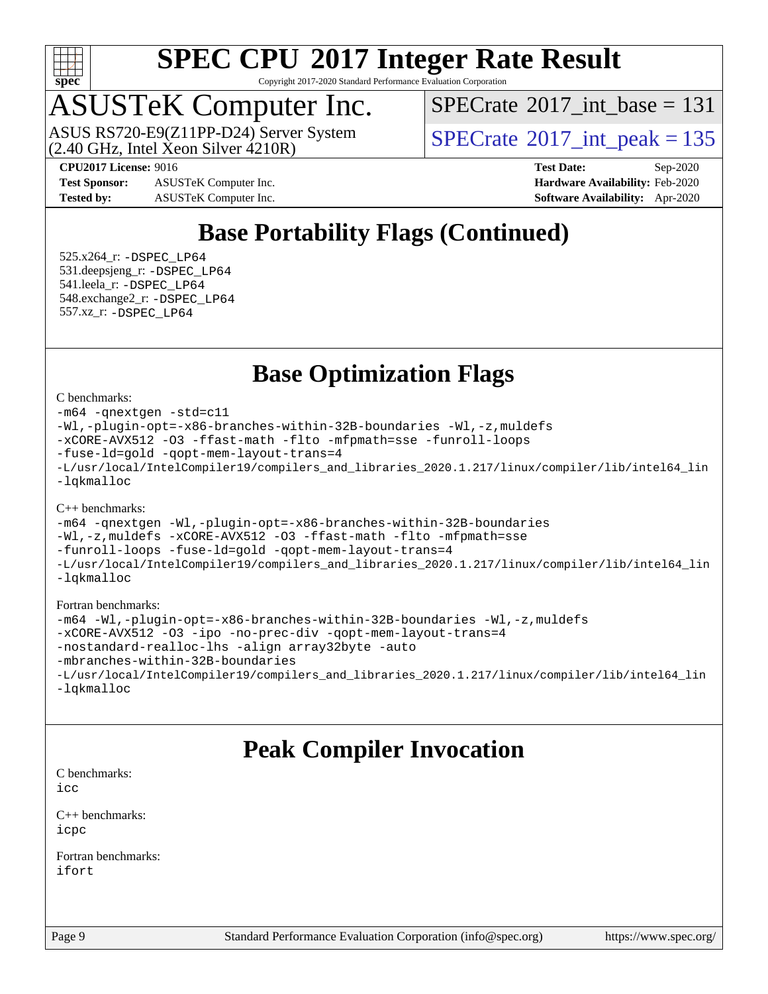

Copyright 2017-2020 Standard Performance Evaluation Corporation

### ASUSTeK Computer Inc.

 $(2.40 \text{ GHz}, \text{Intel } \hat{\text{X}}$ con Silver  $4210\text{R}$ ) ASUS RS720-E9(Z11PP-D24) Server System  $\sqrt{SPECrate}$  $\sqrt{SPECrate}$  $\sqrt{SPECrate}$  SQ17\_int\_peak = 135

 $SPECTate$ <sup>®</sup>[2017\\_int\\_base =](http://www.spec.org/auto/cpu2017/Docs/result-fields.html#SPECrate2017intbase) 131

**[Test Sponsor:](http://www.spec.org/auto/cpu2017/Docs/result-fields.html#TestSponsor)** ASUSTeK Computer Inc. **[Hardware Availability:](http://www.spec.org/auto/cpu2017/Docs/result-fields.html#HardwareAvailability)** Feb-2020 **[Tested by:](http://www.spec.org/auto/cpu2017/Docs/result-fields.html#Testedby)** ASUSTeK Computer Inc. **[Software Availability:](http://www.spec.org/auto/cpu2017/Docs/result-fields.html#SoftwareAvailability)** Apr-2020

**[CPU2017 License:](http://www.spec.org/auto/cpu2017/Docs/result-fields.html#CPU2017License)** 9016 **[Test Date:](http://www.spec.org/auto/cpu2017/Docs/result-fields.html#TestDate)** Sep-2020

### **[Base Portability Flags \(Continued\)](http://www.spec.org/auto/cpu2017/Docs/result-fields.html#BasePortabilityFlags)**

 525.x264\_r: [-DSPEC\\_LP64](http://www.spec.org/cpu2017/results/res2020q4/cpu2017-20200925-24013.flags.html#suite_basePORTABILITY525_x264_r_DSPEC_LP64) 531.deepsjeng\_r: [-DSPEC\\_LP64](http://www.spec.org/cpu2017/results/res2020q4/cpu2017-20200925-24013.flags.html#suite_basePORTABILITY531_deepsjeng_r_DSPEC_LP64) 541.leela\_r: [-DSPEC\\_LP64](http://www.spec.org/cpu2017/results/res2020q4/cpu2017-20200925-24013.flags.html#suite_basePORTABILITY541_leela_r_DSPEC_LP64) 548.exchange2\_r: [-DSPEC\\_LP64](http://www.spec.org/cpu2017/results/res2020q4/cpu2017-20200925-24013.flags.html#suite_basePORTABILITY548_exchange2_r_DSPEC_LP64) 557.xz\_r: [-DSPEC\\_LP64](http://www.spec.org/cpu2017/results/res2020q4/cpu2017-20200925-24013.flags.html#suite_basePORTABILITY557_xz_r_DSPEC_LP64)

### **[Base Optimization Flags](http://www.spec.org/auto/cpu2017/Docs/result-fields.html#BaseOptimizationFlags)**

[C benchmarks](http://www.spec.org/auto/cpu2017/Docs/result-fields.html#Cbenchmarks):

```
-m64 -qnextgen -std=c11
-Wl,-plugin-opt=-x86-branches-within-32B-boundaries -Wl,-z,muldefs
-xCORE-AVX512 -O3 -ffast-math -flto -mfpmath=sse -funroll-loops
-fuse-ld=gold -qopt-mem-layout-trans=4
-L/usr/local/IntelCompiler19/compilers_and_libraries_2020.1.217/linux/compiler/lib/intel64_lin
-lqkmalloc
```
#### [C++ benchmarks](http://www.spec.org/auto/cpu2017/Docs/result-fields.html#CXXbenchmarks):

```
-m64 -qnextgen -Wl,-plugin-opt=-x86-branches-within-32B-boundaries
-Wl,-z,muldefs -xCORE-AVX512 -O3 -ffast-math -flto -mfpmath=sse
-funroll-loops -fuse-ld=gold -qopt-mem-layout-trans=4
-L/usr/local/IntelCompiler19/compilers_and_libraries_2020.1.217/linux/compiler/lib/intel64_lin
-lqkmalloc
```
#### [Fortran benchmarks:](http://www.spec.org/auto/cpu2017/Docs/result-fields.html#Fortranbenchmarks)

```
-m64 -Wl,-plugin-opt=-x86-branches-within-32B-boundaries -Wl,-z,muldefs
-xCORE-AVX512 -O3 -ipo -no-prec-div -qopt-mem-layout-trans=4
-nostandard-realloc-lhs -align array32byte -auto
-mbranches-within-32B-boundaries
-L/usr/local/IntelCompiler19/compilers_and_libraries_2020.1.217/linux/compiler/lib/intel64_lin
-lqkmalloc
```
### **[Peak Compiler Invocation](http://www.spec.org/auto/cpu2017/Docs/result-fields.html#PeakCompilerInvocation)**

[C benchmarks](http://www.spec.org/auto/cpu2017/Docs/result-fields.html#Cbenchmarks): [icc](http://www.spec.org/cpu2017/results/res2020q4/cpu2017-20200925-24013.flags.html#user_CCpeak_intel_icc_66fc1ee009f7361af1fbd72ca7dcefbb700085f36577c54f309893dd4ec40d12360134090235512931783d35fd58c0460139e722d5067c5574d8eaf2b3e37e92)

[C++ benchmarks:](http://www.spec.org/auto/cpu2017/Docs/result-fields.html#CXXbenchmarks) [icpc](http://www.spec.org/cpu2017/results/res2020q4/cpu2017-20200925-24013.flags.html#user_CXXpeak_intel_icpc_c510b6838c7f56d33e37e94d029a35b4a7bccf4766a728ee175e80a419847e808290a9b78be685c44ab727ea267ec2f070ec5dc83b407c0218cded6866a35d07)

[Fortran benchmarks](http://www.spec.org/auto/cpu2017/Docs/result-fields.html#Fortranbenchmarks): [ifort](http://www.spec.org/cpu2017/results/res2020q4/cpu2017-20200925-24013.flags.html#user_FCpeak_intel_ifort_8111460550e3ca792625aed983ce982f94888b8b503583aa7ba2b8303487b4d8a21a13e7191a45c5fd58ff318f48f9492884d4413fa793fd88dd292cad7027ca)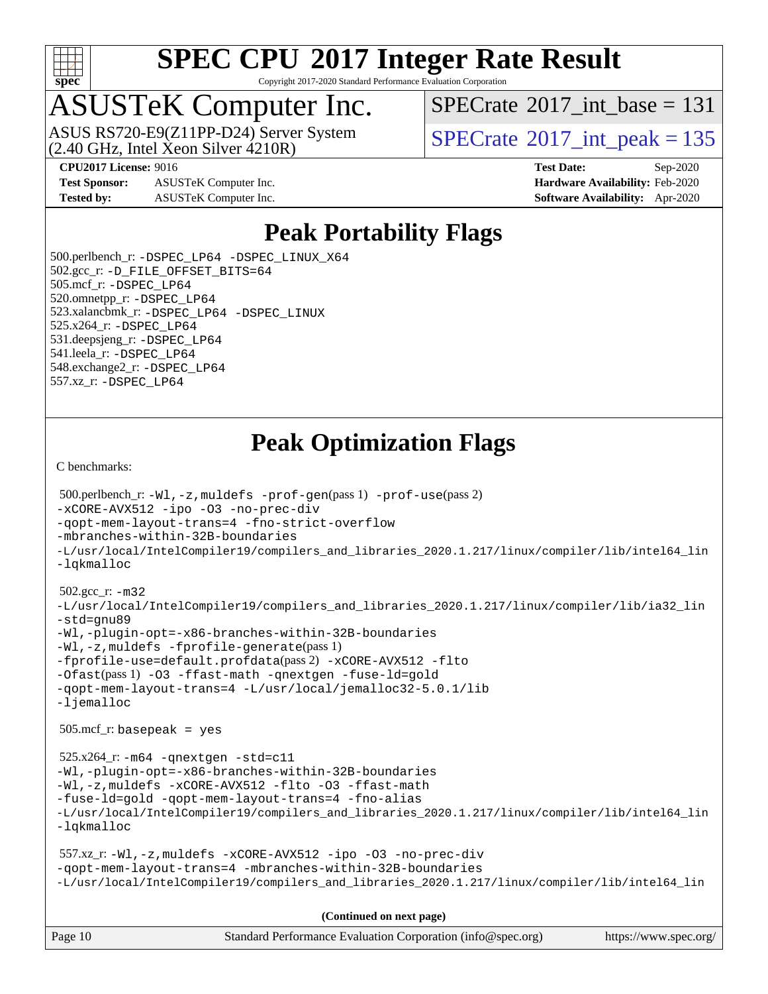

Copyright 2017-2020 Standard Performance Evaluation Corporation

## ASUSTeK Computer Inc.

 $(2.40 \text{ GHz}, \text{Intel } \hat{\text{X}}$ con Silver  $4210\text{R}$ ) ASUS RS720-E9(Z11PP-D24) Server System  $\sqrt{SPECrate}$  $\sqrt{SPECrate}$  $\sqrt{SPECrate}$  SQ17\_int\_peak = 135

 $SPECTate$ <sup>®</sup>[2017\\_int\\_base =](http://www.spec.org/auto/cpu2017/Docs/result-fields.html#SPECrate2017intbase) 131

**[Test Sponsor:](http://www.spec.org/auto/cpu2017/Docs/result-fields.html#TestSponsor)** ASUSTeK Computer Inc. **[Hardware Availability:](http://www.spec.org/auto/cpu2017/Docs/result-fields.html#HardwareAvailability)** Feb-2020 **[Tested by:](http://www.spec.org/auto/cpu2017/Docs/result-fields.html#Testedby)** ASUSTeK Computer Inc. **[Software Availability:](http://www.spec.org/auto/cpu2017/Docs/result-fields.html#SoftwareAvailability)** Apr-2020

**[CPU2017 License:](http://www.spec.org/auto/cpu2017/Docs/result-fields.html#CPU2017License)** 9016 **[Test Date:](http://www.spec.org/auto/cpu2017/Docs/result-fields.html#TestDate)** Sep-2020

### **[Peak Portability Flags](http://www.spec.org/auto/cpu2017/Docs/result-fields.html#PeakPortabilityFlags)**

 500.perlbench\_r: [-DSPEC\\_LP64](http://www.spec.org/cpu2017/results/res2020q4/cpu2017-20200925-24013.flags.html#b500.perlbench_r_peakPORTABILITY_DSPEC_LP64) [-DSPEC\\_LINUX\\_X64](http://www.spec.org/cpu2017/results/res2020q4/cpu2017-20200925-24013.flags.html#b500.perlbench_r_peakCPORTABILITY_DSPEC_LINUX_X64) 502.gcc\_r: [-D\\_FILE\\_OFFSET\\_BITS=64](http://www.spec.org/cpu2017/results/res2020q4/cpu2017-20200925-24013.flags.html#user_peakPORTABILITY502_gcc_r_file_offset_bits_64_5ae949a99b284ddf4e95728d47cb0843d81b2eb0e18bdfe74bbf0f61d0b064f4bda2f10ea5eb90e1dcab0e84dbc592acfc5018bc955c18609f94ddb8d550002c) 505.mcf\_r: [-DSPEC\\_LP64](http://www.spec.org/cpu2017/results/res2020q4/cpu2017-20200925-24013.flags.html#suite_peakPORTABILITY505_mcf_r_DSPEC_LP64) 520.omnetpp\_r: [-DSPEC\\_LP64](http://www.spec.org/cpu2017/results/res2020q4/cpu2017-20200925-24013.flags.html#suite_peakPORTABILITY520_omnetpp_r_DSPEC_LP64) 523.xalancbmk\_r: [-DSPEC\\_LP64](http://www.spec.org/cpu2017/results/res2020q4/cpu2017-20200925-24013.flags.html#suite_peakPORTABILITY523_xalancbmk_r_DSPEC_LP64) [-DSPEC\\_LINUX](http://www.spec.org/cpu2017/results/res2020q4/cpu2017-20200925-24013.flags.html#b523.xalancbmk_r_peakCXXPORTABILITY_DSPEC_LINUX) 525.x264\_r: [-DSPEC\\_LP64](http://www.spec.org/cpu2017/results/res2020q4/cpu2017-20200925-24013.flags.html#suite_peakPORTABILITY525_x264_r_DSPEC_LP64) 531.deepsjeng\_r: [-DSPEC\\_LP64](http://www.spec.org/cpu2017/results/res2020q4/cpu2017-20200925-24013.flags.html#suite_peakPORTABILITY531_deepsjeng_r_DSPEC_LP64) 541.leela\_r: [-DSPEC\\_LP64](http://www.spec.org/cpu2017/results/res2020q4/cpu2017-20200925-24013.flags.html#suite_peakPORTABILITY541_leela_r_DSPEC_LP64) 548.exchange2\_r: [-DSPEC\\_LP64](http://www.spec.org/cpu2017/results/res2020q4/cpu2017-20200925-24013.flags.html#suite_peakPORTABILITY548_exchange2_r_DSPEC_LP64) 557.xz\_r: [-DSPEC\\_LP64](http://www.spec.org/cpu2017/results/res2020q4/cpu2017-20200925-24013.flags.html#suite_peakPORTABILITY557_xz_r_DSPEC_LP64)

### **[Peak Optimization Flags](http://www.spec.org/auto/cpu2017/Docs/result-fields.html#PeakOptimizationFlags)**

[C benchmarks](http://www.spec.org/auto/cpu2017/Docs/result-fields.html#Cbenchmarks):

```
Page 10 Standard Performance Evaluation Corporation (info@spec.org) https://www.spec.org/
  500.perlbench_r: -Wl,-z,muldefs -prof-gen(pass 1) -prof-use(pass 2)
-xCORE-AVX512 -ipo -O3 -no-prec-div
-qopt-mem-layout-trans=4 -fno-strict-overflow
-mbranches-within-32B-boundaries
-L/usr/local/IntelCompiler19/compilers_and_libraries_2020.1.217/linux/compiler/lib/intel64_lin
-lqkmalloc
  502.gcc_r: -m32
-L/usr/local/IntelCompiler19/compilers_and_libraries_2020.1.217/linux/compiler/lib/ia32_lin
-std=gnu89
-Wl,-plugin-opt=-x86-branches-within-32B-boundaries
-Wl,-z,muldefs -fprofile-generate(pass 1)
-fprofile-use=default.profdata(pass 2) -xCORE-AVX512 -flto
-Ofast(pass 1) -O3 -ffast-math -qnextgen -fuse-ld=gold
-qopt-mem-layout-trans=4 -L/usr/local/jemalloc32-5.0.1/lib
-ljemalloc
  505.mcf_r: basepeak = yes
  525.x264_r: -m64 -qnextgen -std=c11
-Wl,-plugin-opt=-x86-branches-within-32B-boundaries
-Wl,-z,muldefs -xCORE-AVX512 -flto -O3 -ffast-math
-fuse-ld=gold -qopt-mem-layout-trans=4 -fno-alias
-L/usr/local/IntelCompiler19/compilers_and_libraries_2020.1.217/linux/compiler/lib/intel64_lin
-lqkmalloc
  557.xz_r: -Wl,-z,muldefs -xCORE-AVX512 -ipo -O3 -no-prec-div
-qopt-mem-layout-trans=4 -mbranches-within-32B-boundaries
-L/usr/local/IntelCompiler19/compilers_and_libraries_2020.1.217/linux/compiler/lib/intel64_lin
                                      (Continued on next page)
```